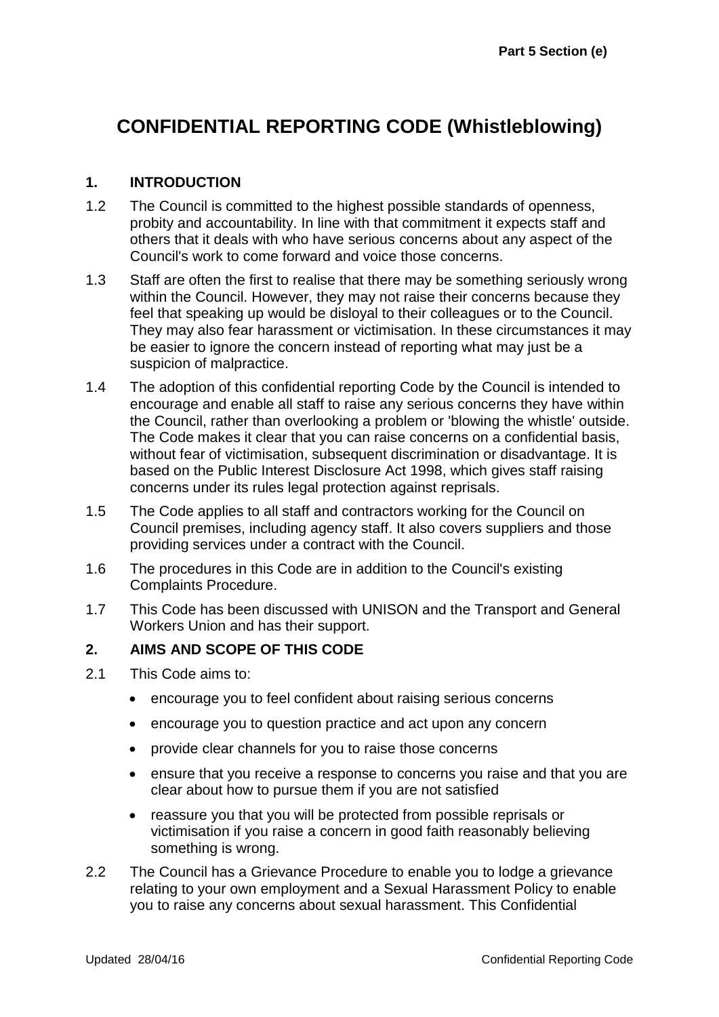# **CONFIDENTIAL REPORTING CODE (Whistleblowing)**

### **1. INTRODUCTION**

- 1.2 The Council is committed to the highest possible standards of openness, probity and accountability. In line with that commitment it expects staff and others that it deals with who have serious concerns about any aspect of the Council's work to come forward and voice those concerns.
- 1.3 Staff are often the first to realise that there may be something seriously wrong within the Council. However, they may not raise their concerns because they feel that speaking up would be disloyal to their colleagues or to the Council. They may also fear harassment or victimisation. In these circumstances it may be easier to ignore the concern instead of reporting what may just be a suspicion of malpractice.
- 1.4 The adoption of this confidential reporting Code by the Council is intended to encourage and enable all staff to raise any serious concerns they have within the Council, rather than overlooking a problem or 'blowing the whistle' outside. The Code makes it clear that you can raise concerns on a confidential basis, without fear of victimisation, subsequent discrimination or disadvantage. It is based on the Public Interest Disclosure Act 1998, which gives staff raising concerns under its rules legal protection against reprisals.
- 1.5 The Code applies to all staff and contractors working for the Council on Council premises, including agency staff. It also covers suppliers and those providing services under a contract with the Council.
- 1.6 The procedures in this Code are in addition to the Council's existing Complaints Procedure.
- 1.7 This Code has been discussed with UNISON and the Transport and General Workers Union and has their support.

#### **2. AIMS AND SCOPE OF THIS CODE**

- 2.1 This Code aims to:
	- encourage you to feel confident about raising serious concerns
	- encourage you to question practice and act upon any concern
	- provide clear channels for you to raise those concerns
	- ensure that you receive a response to concerns you raise and that you are clear about how to pursue them if you are not satisfied
	- reassure you that you will be protected from possible reprisals or victimisation if you raise a concern in good faith reasonably believing something is wrong.
- 2.2 The Council has a Grievance Procedure to enable you to lodge a grievance relating to your own employment and a Sexual Harassment Policy to enable you to raise any concerns about sexual harassment. This Confidential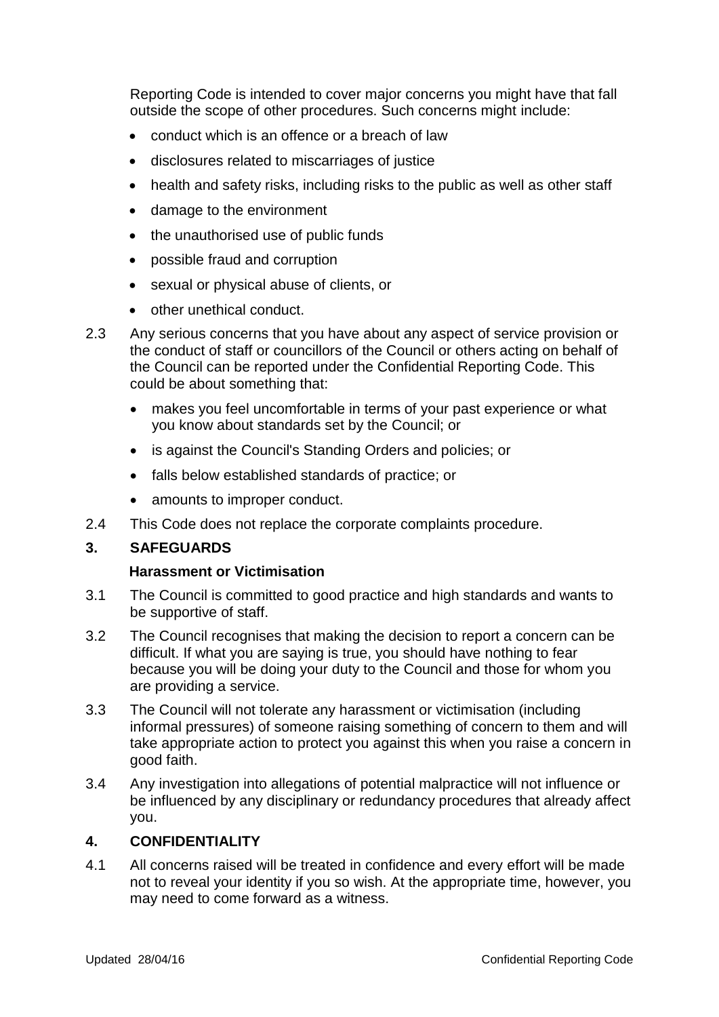Reporting Code is intended to cover major concerns you might have that fall outside the scope of other procedures. Such concerns might include:

- conduct which is an offence or a breach of law
- disclosures related to miscarriages of justice
- health and safety risks, including risks to the public as well as other staff
- damage to the environment
- the unauthorised use of public funds
- possible fraud and corruption
- sexual or physical abuse of clients, or
- other unethical conduct.
- 2.3 Any serious concerns that you have about any aspect of service provision or the conduct of staff or councillors of the Council or others acting on behalf of the Council can be reported under the Confidential Reporting Code. This could be about something that:
	- makes you feel uncomfortable in terms of your past experience or what you know about standards set by the Council; or
	- is against the Council's Standing Orders and policies; or
	- falls below established standards of practice; or
	- amounts to improper conduct.
- 2.4 This Code does not replace the corporate complaints procedure.

#### **3. SAFEGUARDS**

#### **Harassment or Victimisation**

- 3.1 The Council is committed to good practice and high standards and wants to be supportive of staff.
- 3.2 The Council recognises that making the decision to report a concern can be difficult. If what you are saying is true, you should have nothing to fear because you will be doing your duty to the Council and those for whom you are providing a service.
- 3.3 The Council will not tolerate any harassment or victimisation (including informal pressures) of someone raising something of concern to them and will take appropriate action to protect you against this when you raise a concern in good faith.
- 3.4 Any investigation into allegations of potential malpractice will not influence or be influenced by any disciplinary or redundancy procedures that already affect you.

# **4. CONFIDENTIALITY**

4.1 All concerns raised will be treated in confidence and every effort will be made not to reveal your identity if you so wish. At the appropriate time, however, you may need to come forward as a witness.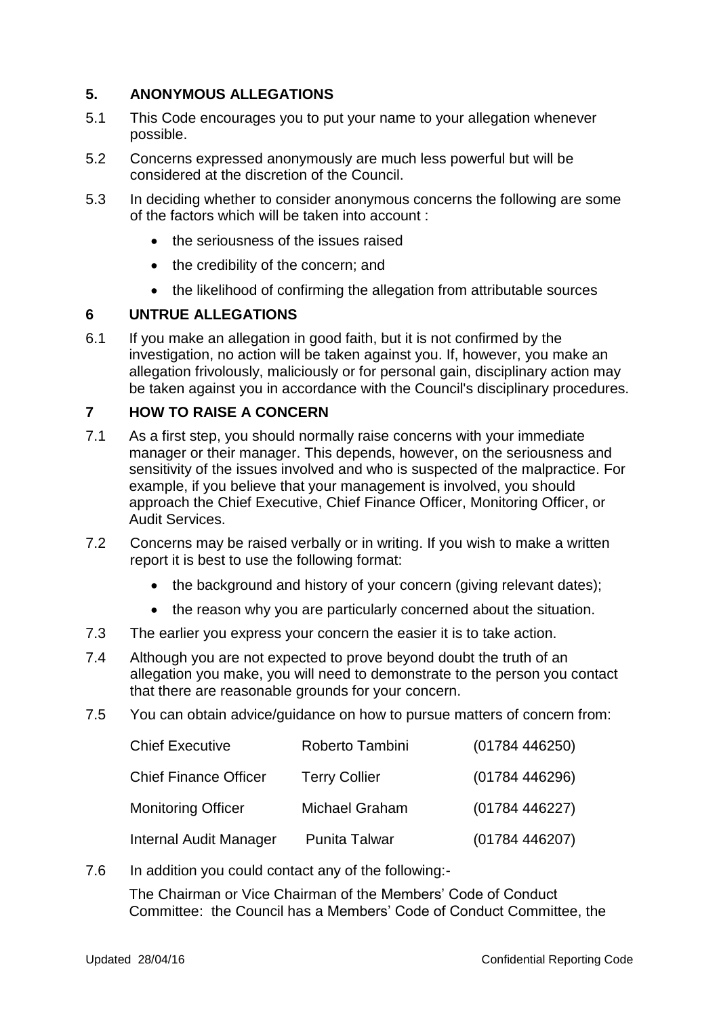# **5. ANONYMOUS ALLEGATIONS**

- 5.1 This Code encourages you to put your name to your allegation whenever possible.
- 5.2 Concerns expressed anonymously are much less powerful but will be considered at the discretion of the Council.
- 5.3 In deciding whether to consider anonymous concerns the following are some of the factors which will be taken into account :
	- the seriousness of the issues raised
	- the credibility of the concern; and
	- the likelihood of confirming the allegation from attributable sources

# **6 UNTRUE ALLEGATIONS**

6.1 If you make an allegation in good faith, but it is not confirmed by the investigation, no action will be taken against you. If, however, you make an allegation frivolously, maliciously or for personal gain, disciplinary action may be taken against you in accordance with the Council's disciplinary procedures.

#### **7 HOW TO RAISE A CONCERN**

- 7.1 As a first step, you should normally raise concerns with your immediate manager or their manager. This depends, however, on the seriousness and sensitivity of the issues involved and who is suspected of the malpractice. For example, if you believe that your management is involved, you should approach the Chief Executive, Chief Finance Officer, Monitoring Officer, or Audit Services.
- 7.2 Concerns may be raised verbally or in writing. If you wish to make a written report it is best to use the following format:
	- the background and history of your concern (giving relevant dates);
	- the reason why you are particularly concerned about the situation.
- 7.3 The earlier you express your concern the easier it is to take action.
- 7.4 Although you are not expected to prove beyond doubt the truth of an allegation you make, you will need to demonstrate to the person you contact that there are reasonable grounds for your concern.
- 7.5 You can obtain advice/guidance on how to pursue matters of concern from:

| <b>Chief Executive</b>       | Roberto Tambini      | (01784446250) |
|------------------------------|----------------------|---------------|
| <b>Chief Finance Officer</b> | <b>Terry Collier</b> | (01784446296) |
| <b>Monitoring Officer</b>    | Michael Graham       | (01784446227) |
| Internal Audit Manager       | <b>Punita Talwar</b> | (01784446207) |

7.6 In addition you could contact any of the following:-

The Chairman or Vice Chairman of the Members' Code of Conduct Committee: the Council has a Members' Code of Conduct Committee, the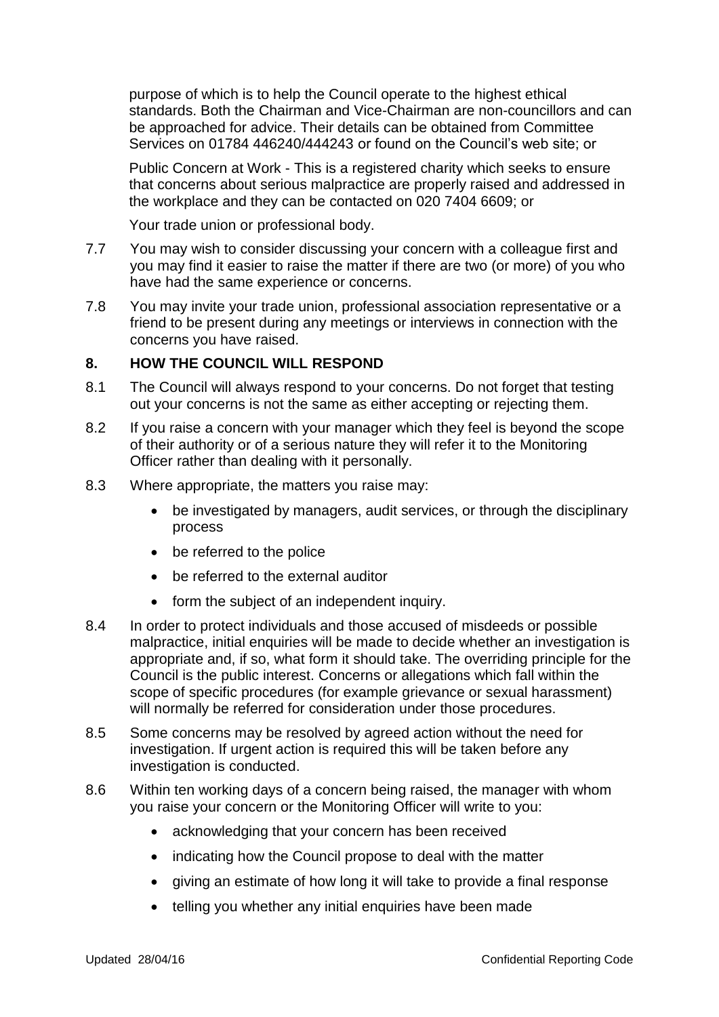purpose of which is to help the Council operate to the highest ethical standards. Both the Chairman and Vice-Chairman are non-councillors and can be approached for advice. Their details can be obtained from Committee Services on 01784 446240/444243 or found on the Council's web site; or

Public Concern at Work - This is a registered charity which seeks to ensure that concerns about serious malpractice are properly raised and addressed in the workplace and they can be contacted on 020 7404 6609; or

Your trade union or professional body.

- 7.7 You may wish to consider discussing your concern with a colleague first and you may find it easier to raise the matter if there are two (or more) of you who have had the same experience or concerns.
- 7.8 You may invite your trade union, professional association representative or a friend to be present during any meetings or interviews in connection with the concerns you have raised.

#### **8. HOW THE COUNCIL WILL RESPOND**

- 8.1 The Council will always respond to your concerns. Do not forget that testing out your concerns is not the same as either accepting or rejecting them.
- 8.2 If you raise a concern with your manager which they feel is beyond the scope of their authority or of a serious nature they will refer it to the Monitoring Officer rather than dealing with it personally.
- 8.3 Where appropriate, the matters you raise may:
	- be investigated by managers, audit services, or through the disciplinary process
	- be referred to the police
	- be referred to the external auditor
	- form the subject of an independent inquiry.
- 8.4 In order to protect individuals and those accused of misdeeds or possible malpractice, initial enquiries will be made to decide whether an investigation is appropriate and, if so, what form it should take. The overriding principle for the Council is the public interest. Concerns or allegations which fall within the scope of specific procedures (for example grievance or sexual harassment) will normally be referred for consideration under those procedures.
- 8.5 Some concerns may be resolved by agreed action without the need for investigation. If urgent action is required this will be taken before any investigation is conducted.
- 8.6 Within ten working days of a concern being raised, the manager with whom you raise your concern or the Monitoring Officer will write to you:
	- acknowledging that your concern has been received
	- indicating how the Council propose to deal with the matter
	- giving an estimate of how long it will take to provide a final response
	- telling you whether any initial enquiries have been made